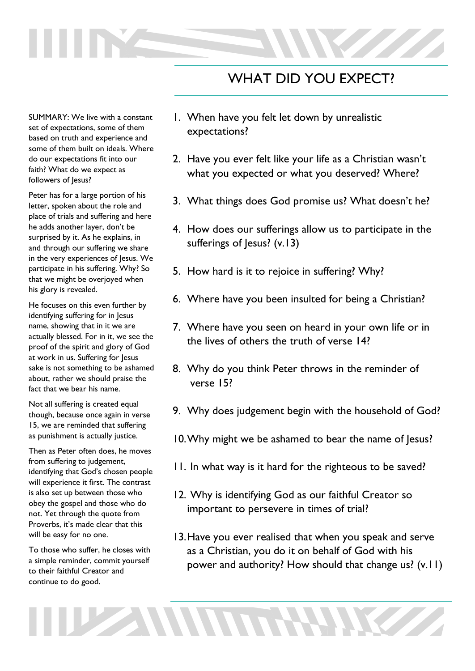## WHAT DID YOU EXPECT?

SUMMARY: We live with a constant set of expectations, some of them based on truth and experience and some of them built on ideals. Where do our expectations fit into our faith? What do we expect as followers of Jesus?

Peter has for a large portion of his letter, spoken about the role and place of trials and suffering and here he adds another layer, don't be surprised by it. As he explains, in and through our suffering we share in the very experiences of Jesus. We participate in his suffering. Why? So that we might be overjoyed when his glory is revealed.

He focuses on this even further by identifying suffering for in Jesus name, showing that in it we are actually blessed. For in it, we see the proof of the spirit and glory of God at work in us. Suffering for Jesus sake is not something to be ashamed about, rather we should praise the fact that we bear his name.

Not all suffering is created equal though, because once again in verse 15, we are reminded that suffering as punishment is actually justice.

Then as Peter often does, he moves from suffering to judgement, identifying that God's chosen people will experience it first. The contrast is also set up between those who obey the gospel and those who do not. Yet through the quote from Proverbs, it's made clear that this will be easy for no one.

To those who suffer, he closes with a simple reminder, commit yourself to their faithful Creator and continue to do good.

**THE ANNUAL** 

- 1. When have you felt let down by unrealistic expectations?
- 2. Have you ever felt like your life as a Christian wasn't what you expected or what you deserved? Where?
- 3. What things does God promise us? What doesn't he?
- 4. How does our sufferings allow us to participate in the sufferings of Jesus? (v.13)
- 5. How hard is it to rejoice in suffering? Why?
- 6. Where have you been insulted for being a Christian?
- 7. Where have you seen on heard in your own life or in the lives of others the truth of verse 14?
- 8. Why do you think Peter throws in the reminder of verse 15?
- 9. Why does judgement begin with the household of God?
- 10.Why might we be ashamed to bear the name of Jesus?
- 11. In what way is it hard for the righteous to be saved?
- 12. Why is identifying God as our faithful Creator so important to persevere in times of trial?
- 13.Have you ever realised that when you speak and serve as a Christian, you do it on behalf of God with his power and authority? How should that change us? (v.11)